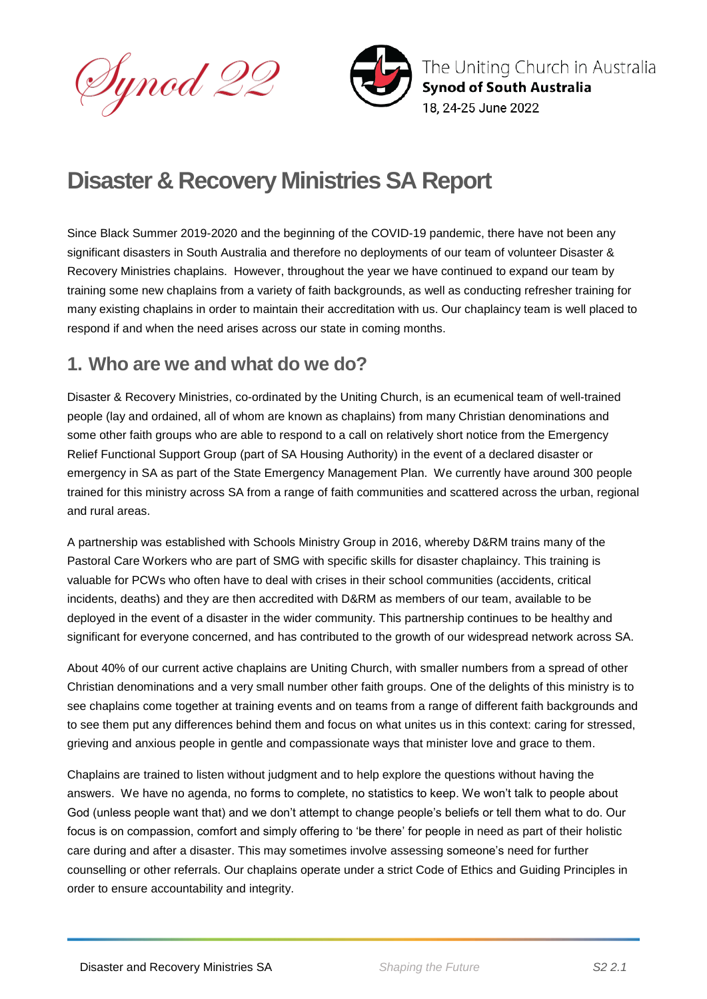Synod 22



The Uniting Church in Australia **Synod of South Australia** 18. 24-25 June 2022

# **Disaster & Recovery Ministries SA Report**

Since Black Summer 2019-2020 and the beginning of the COVID-19 pandemic, there have not been any significant disasters in South Australia and therefore no deployments of our team of volunteer Disaster & Recovery Ministries chaplains. However, throughout the year we have continued to expand our team by training some new chaplains from a variety of faith backgrounds, as well as conducting refresher training for many existing chaplains in order to maintain their accreditation with us. Our chaplaincy team is well placed to respond if and when the need arises across our state in coming months.

## **1. Who are we and what do we do?**

Disaster & Recovery Ministries, co-ordinated by the Uniting Church, is an ecumenical team of well-trained people (lay and ordained, all of whom are known as chaplains) from many Christian denominations and some other faith groups who are able to respond to a call on relatively short notice from the Emergency Relief Functional Support Group (part of SA Housing Authority) in the event of a declared disaster or emergency in SA as part of the State Emergency Management Plan. We currently have around 300 people trained for this ministry across SA from a range of faith communities and scattered across the urban, regional and rural areas.

A partnership was established with Schools Ministry Group in 2016, whereby D&RM trains many of the Pastoral Care Workers who are part of SMG with specific skills for disaster chaplaincy. This training is valuable for PCWs who often have to deal with crises in their school communities (accidents, critical incidents, deaths) and they are then accredited with D&RM as members of our team, available to be deployed in the event of a disaster in the wider community. This partnership continues to be healthy and significant for everyone concerned, and has contributed to the growth of our widespread network across SA.

About 40% of our current active chaplains are Uniting Church, with smaller numbers from a spread of other Christian denominations and a very small number other faith groups. One of the delights of this ministry is to see chaplains come together at training events and on teams from a range of different faith backgrounds and to see them put any differences behind them and focus on what unites us in this context: caring for stressed, grieving and anxious people in gentle and compassionate ways that minister love and grace to them.

Chaplains are trained to listen without judgment and to help explore the questions without having the answers. We have no agenda, no forms to complete, no statistics to keep. We won't talk to people about God (unless people want that) and we don't attempt to change people's beliefs or tell them what to do. Our focus is on compassion, comfort and simply offering to 'be there' for people in need as part of their holistic care during and after a disaster. This may sometimes involve assessing someone's need for further counselling or other referrals. Our chaplains operate under a strict Code of Ethics and Guiding Principles in order to ensure accountability and integrity.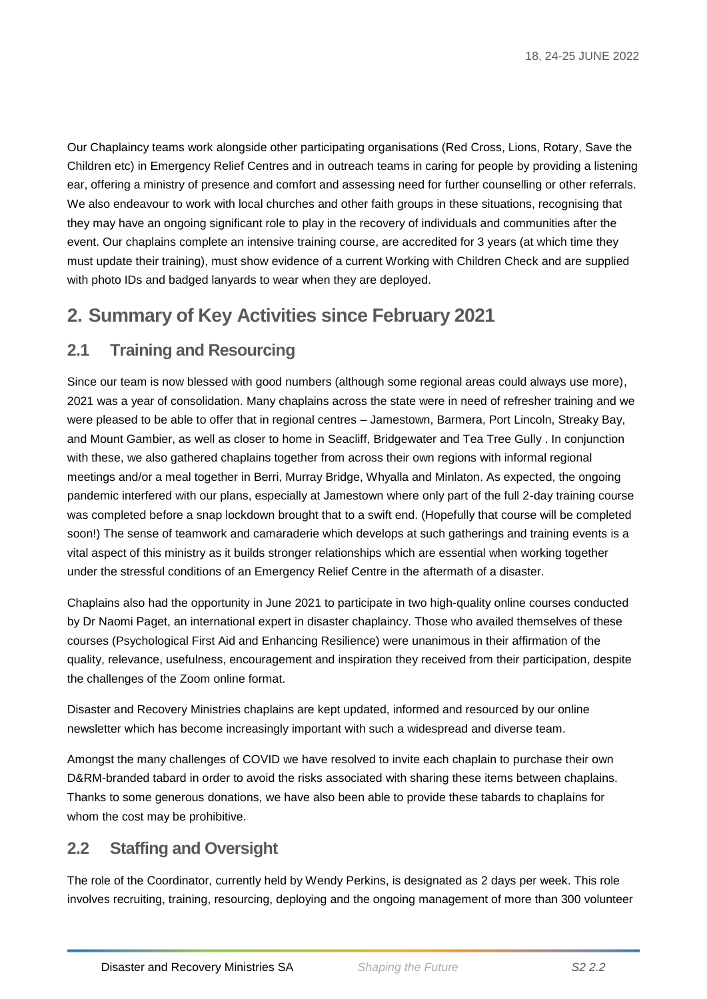Our Chaplaincy teams work alongside other participating organisations (Red Cross, Lions, Rotary, Save the Children etc) in Emergency Relief Centres and in outreach teams in caring for people by providing a listening ear, offering a ministry of presence and comfort and assessing need for further counselling or other referrals. We also endeavour to work with local churches and other faith groups in these situations, recognising that they may have an ongoing significant role to play in the recovery of individuals and communities after the event. Our chaplains complete an intensive training course, are accredited for 3 years (at which time they must update their training), must show evidence of a current Working with Children Check and are supplied with photo IDs and badged lanyards to wear when they are deployed.

# **2. Summary of Key Activities since February 2021**

#### **2.1 Training and Resourcing**

Since our team is now blessed with good numbers (although some regional areas could always use more), 2021 was a year of consolidation. Many chaplains across the state were in need of refresher training and we were pleased to be able to offer that in regional centres – Jamestown, Barmera, Port Lincoln, Streaky Bay, and Mount Gambier, as well as closer to home in Seacliff, Bridgewater and Tea Tree Gully . In conjunction with these, we also gathered chaplains together from across their own regions with informal regional meetings and/or a meal together in Berri, Murray Bridge, Whyalla and Minlaton. As expected, the ongoing pandemic interfered with our plans, especially at Jamestown where only part of the full 2-day training course was completed before a snap lockdown brought that to a swift end. (Hopefully that course will be completed soon!) The sense of teamwork and camaraderie which develops at such gatherings and training events is a vital aspect of this ministry as it builds stronger relationships which are essential when working together under the stressful conditions of an Emergency Relief Centre in the aftermath of a disaster.

Chaplains also had the opportunity in June 2021 to participate in two high-quality online courses conducted by Dr Naomi Paget, an international expert in disaster chaplaincy. Those who availed themselves of these courses (Psychological First Aid and Enhancing Resilience) were unanimous in their affirmation of the quality, relevance, usefulness, encouragement and inspiration they received from their participation, despite the challenges of the Zoom online format.

Disaster and Recovery Ministries chaplains are kept updated, informed and resourced by our online newsletter which has become increasingly important with such a widespread and diverse team.

Amongst the many challenges of COVID we have resolved to invite each chaplain to purchase their own D&RM-branded tabard in order to avoid the risks associated with sharing these items between chaplains. Thanks to some generous donations, we have also been able to provide these tabards to chaplains for whom the cost may be prohibitive.

### **2.2 Staffing and Oversight**

The role of the Coordinator, currently held by Wendy Perkins, is designated as 2 days per week. This role involves recruiting, training, resourcing, deploying and the ongoing management of more than 300 volunteer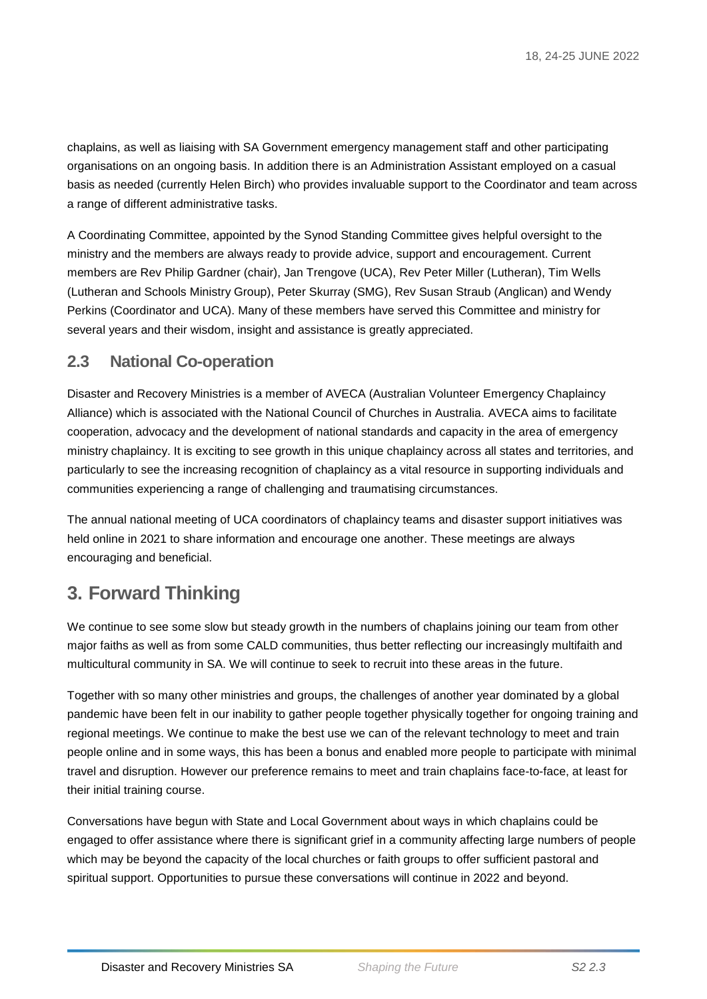chaplains, as well as liaising with SA Government emergency management staff and other participating organisations on an ongoing basis. In addition there is an Administration Assistant employed on a casual basis as needed (currently Helen Birch) who provides invaluable support to the Coordinator and team across a range of different administrative tasks.

A Coordinating Committee, appointed by the Synod Standing Committee gives helpful oversight to the ministry and the members are always ready to provide advice, support and encouragement. Current members are Rev Philip Gardner (chair), Jan Trengove (UCA), Rev Peter Miller (Lutheran), Tim Wells (Lutheran and Schools Ministry Group), Peter Skurray (SMG), Rev Susan Straub (Anglican) and Wendy Perkins (Coordinator and UCA). Many of these members have served this Committee and ministry for several years and their wisdom, insight and assistance is greatly appreciated.

#### **2.3 National Co-operation**

Disaster and Recovery Ministries is a member of AVECA (Australian Volunteer Emergency Chaplaincy Alliance) which is associated with the National Council of Churches in Australia. AVECA aims to facilitate cooperation, advocacy and the development of national standards and capacity in the area of emergency ministry chaplaincy. It is exciting to see growth in this unique chaplaincy across all states and territories, and particularly to see the increasing recognition of chaplaincy as a vital resource in supporting individuals and communities experiencing a range of challenging and traumatising circumstances.

The annual national meeting of UCA coordinators of chaplaincy teams and disaster support initiatives was held online in 2021 to share information and encourage one another. These meetings are always encouraging and beneficial.

# **3. Forward Thinking**

We continue to see some slow but steady growth in the numbers of chaplains joining our team from other major faiths as well as from some CALD communities, thus better reflecting our increasingly multifaith and multicultural community in SA. We will continue to seek to recruit into these areas in the future.

Together with so many other ministries and groups, the challenges of another year dominated by a global pandemic have been felt in our inability to gather people together physically together for ongoing training and regional meetings. We continue to make the best use we can of the relevant technology to meet and train people online and in some ways, this has been a bonus and enabled more people to participate with minimal travel and disruption. However our preference remains to meet and train chaplains face-to-face, at least for their initial training course.

Conversations have begun with State and Local Government about ways in which chaplains could be engaged to offer assistance where there is significant grief in a community affecting large numbers of people which may be beyond the capacity of the local churches or faith groups to offer sufficient pastoral and spiritual support. Opportunities to pursue these conversations will continue in 2022 and beyond.